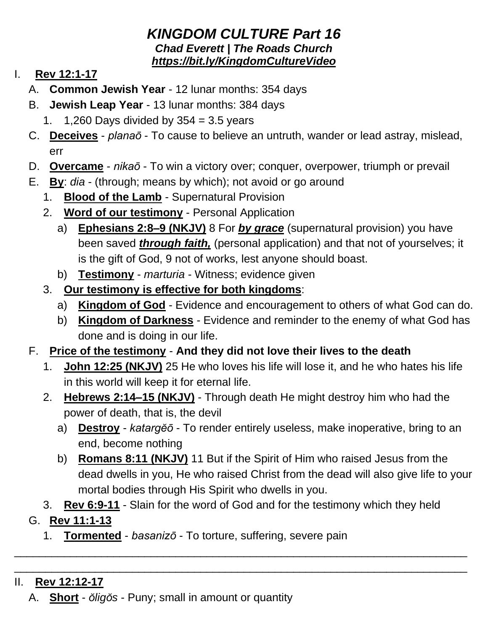## *KINGDOM CULTURE Part 16 Chad Everett | The Roads Church <https://bit.ly/KingdomCultureVideo>*

## I. **Rev 12:1-17**

- A. **Common Jewish Year** 12 lunar months: 354 days
- B. **Jewish Leap Year** 13 lunar months: 384 days
	- 1.  $1,260$  Days divided by  $354 = 3.5$  years
- C. **Deceives** *planaō* To cause to believe an untruth, wander or lead astray, mislead, err
- D. **Overcame** *nikaō* To win a victory over; conquer, overpower, triumph or prevail
- E. **By**: *dia* (through; means by which); not avoid or go around
	- 1. **Blood of the Lamb** Supernatural Provision
	- 2. **Word of our testimony** Personal Application
		- a) **Ephesians 2:8–9 (NKJV)** 8 For *by grace* (supernatural provision) you have been saved *through faith,* (personal application) and that not of yourselves; it is the gift of God, 9 not of works, lest anyone should boast.
		- b) **Testimony** *marturia* Witness; evidence given
	- 3. **Our testimony is effective for both kingdoms**:
		- a) **Kingdom of God** Evidence and encouragement to others of what God can do.
		- b) **Kingdom of Darkness** Evidence and reminder to the enemy of what God has done and is doing in our life.
- F. **Price of the testimony And they did not love their lives to the death**
	- 1. **John 12:25 (NKJV)** 25 He who loves his life will lose it, and he who hates his life in this world will keep it for eternal life.
	- 2. **Hebrews 2:14–15 (NKJV)** Through death He might destroy him who had the power of death, that is, the devil
		- a) **Destroy** *katargĕō* To render entirely useless, make inoperative, bring to an end, become nothing
		- b) **Romans 8:11 (NKJV)** 11 But if the Spirit of Him who raised Jesus from the dead dwells in you, He who raised Christ from the dead will also give life to your mortal bodies through His Spirit who dwells in you.
	- 3. **Rev 6:9-11** Slain for the word of God and for the testimony which they held

\_\_\_\_\_\_\_\_\_\_\_\_\_\_\_\_\_\_\_\_\_\_\_\_\_\_\_\_\_\_\_\_\_\_\_\_\_\_\_\_\_\_\_\_\_\_\_\_\_\_\_\_\_\_\_\_\_\_\_\_\_\_\_\_\_\_\_\_\_\_\_\_\_ \_\_\_\_\_\_\_\_\_\_\_\_\_\_\_\_\_\_\_\_\_\_\_\_\_\_\_\_\_\_\_\_\_\_\_\_\_\_\_\_\_\_\_\_\_\_\_\_\_\_\_\_\_\_\_\_\_\_\_\_\_\_\_\_\_\_\_\_\_\_\_\_\_

- G. **Rev 11:1-13**
	- 1. **Tormented** *basanizō* To torture, suffering, severe pain
- II. **Rev 12:12-17**
	- A. **Short** *ŏligŏs* Puny; small in amount or quantity